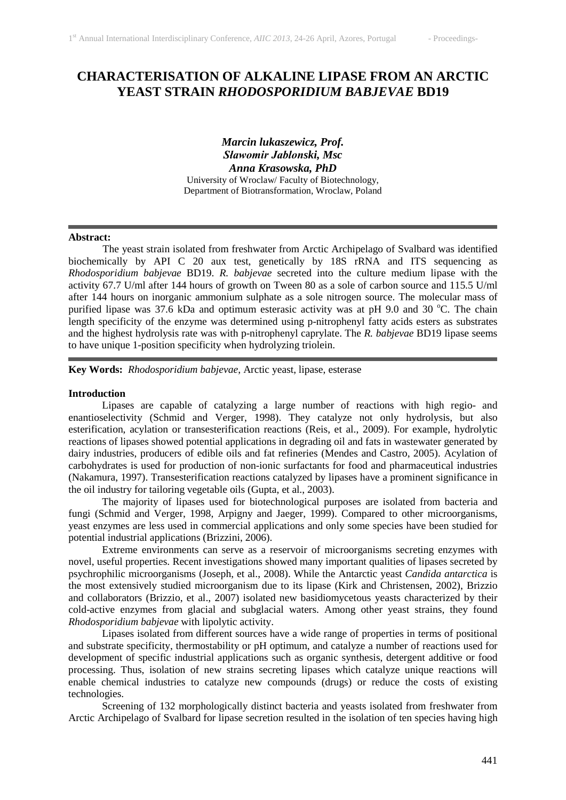# **CHARACTERISATION OF ALKALINE LIPASE FROM AN ARCTIC YEAST STRAIN** *RHODOSPORIDIUM BABJEVAE* **BD19**

*Marcin lukaszewicz, Prof. Sławomir Jablonski, Msc Anna Krasowska, PhD* University of Wroclaw/ Faculty of Biotechnology, Department of Biotransformation, Wroclaw, Poland

#### **Abstract:**

The yeast strain isolated from freshwater from Arctic Archipelago of Svalbard was identified biochemically by API C 20 aux test, genetically by 18S rRNA and ITS sequencing as *Rhodosporidium babjevae* BD19. *R. babjevae* secreted into the culture medium lipase with the activity 67.7 U/ml after 144 hours of growth on Tween 80 as a sole of carbon source and 115.5 U/ml after 144 hours on inorganic ammonium sulphate as a sole nitrogen source. The molecular mass of purified lipase was 37.6 kDa and optimum esterasic activity was at pH 9.0 and 30 °C. The chain length specificity of the enzyme was determined using p-nitrophenyl fatty acids esters as substrates and the highest hydrolysis rate was with p-nitrophenyl caprylate. The *R. babjevae* BD19 lipase seems to have unique 1-position specificity when hydrolyzing triolein.

**Key Words:** *Rhodosporidium babjevae*, Arctic yeast, lipase, esterase

### **Introduction**

Lipases are capable of catalyzing a large number of reactions with high regio- and enantioselectivity (Schmid and Verger, 1998). They catalyze not only hydrolysis, but also esterification, acylation or transesterification reactions (Reis, et al., 2009). For example, hydrolytic reactions of lipases showed potential applications in degrading oil and fats in wastewater generated by dairy industries, producers of edible oils and fat refineries (Mendes and Castro, 2005). Acylation of carbohydrates is used for production of non-ionic surfactants for food and pharmaceutical industries (Nakamura, 1997). Transesterification reactions catalyzed by lipases have a prominent significance in the oil industry for tailoring vegetable oils (Gupta, et al., 2003).

The majority of lipases used for biotechnological purposes are isolated from bacteria and fungi (Schmid and Verger, 1998, Arpigny and Jaeger, 1999). Compared to other microorganisms, yeast enzymes are less used in commercial applications and only some species have been studied for potential industrial applications (Brizzini, 2006).

Extreme environments can serve as a reservoir of microorganisms secreting enzymes with novel, useful properties. Recent investigations showed many important qualities of lipases secreted by psychrophilic microorganisms (Joseph, et al., 2008). While the Antarctic yeast *Candida antarctica* is the most extensively studied microorganism due to its lipase (Kirk and Christensen, 2002), Brizzio and collaborators (Brizzio, et al., 2007) isolated new basidiomycetous yeasts characterized by their cold-active enzymes from glacial and subglacial waters. Among other yeast strains, they found *Rhodosporidium babjevae* with lipolytic activity.

Lipases isolated from different sources have a wide range of properties in terms of positional and substrate specificity, thermostability or pH optimum, and catalyze a number of reactions used for development of specific industrial applications such as organic synthesis, detergent additive or food processing. Thus, isolation of new strains secreting lipases which catalyze unique reactions will enable chemical industries to catalyze new compounds (drugs) or reduce the costs of existing technologies.

Screening of 132 morphologically distinct bacteria and yeasts isolated from freshwater from Arctic Archipelago of Svalbard for lipase secretion resulted in the isolation of ten species having high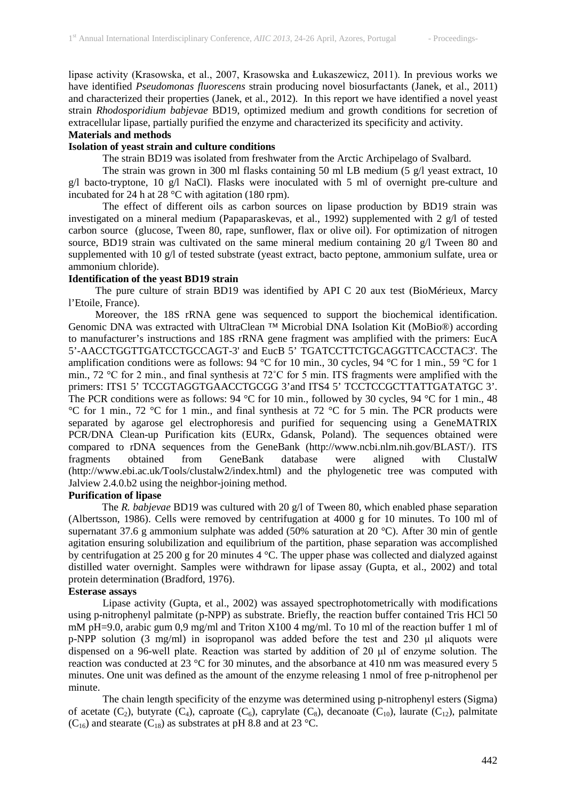lipase activity (Krasowska, et al., 2007, Krasowska and Łukaszewicz, 2011). In previous works we have identified *Pseudomonas fluorescens* strain producing novel biosurfactants (Janek, et al., 2011) and characterized their properties (Janek, et al., 2012). In this report we have identified a novel yeast strain *Rhodosporidium babjevae* BD19, optimized medium and growth conditions for secretion of extracellular lipase, partially purified the enzyme and characterized its specificity and activity.

# **Materials and methods**

## **Isolation of yeast strain and culture conditions**

The strain BD19 was isolated from freshwater from the Arctic Archipelago of Svalbard.

The strain was grown in 300 ml flasks containing 50 ml LB medium (5  $\alpha$ ) yeast extract, 10 g/l bacto-tryptone, 10 g/l NaCl). Flasks were inoculated with 5 ml of overnight pre-culture and incubated for 24 h at 28 °C with agitation (180 rpm).

The effect of different oils as carbon sources on lipase production by BD19 strain was investigated on a mineral medium (Papaparaskevas, et al., 1992) supplemented with 2 g/l of tested carbon source (glucose, Tween 80, rape, sunflower, flax or olive oil). For optimization of nitrogen source, BD19 strain was cultivated on the same mineral medium containing 20 g/l Tween 80 and supplemented with 10 g/l of tested substrate (yeast extract, bacto peptone, ammonium sulfate, urea or ammonium chloride).

## **Identification of the yeast BD19 strain**

The pure culture of strain BD19 was identified by API C 20 aux test (BioMérieux, Marcy l'Etoile, France).

Moreover, the 18S rRNA gene was sequenced to support the biochemical identification. Genomic DNA was extracted with UltraClean ™ Microbial DNA Isolation Kit (MoBio®) according to manufacturer's instructions and 18S rRNA gene fragment was amplified with the primers: EucA 5'-AACCTGGTTGATCCTGCCAGT-3' and EucB 5' TGATCCTTCTGCAGGTTCACCTAC3'. The amplification conditions were as follows: 94 °C for 10 min., 30 cycles, 94 °C for 1 min., 59 °C for 1 min., 72 °C for 2 min., and final synthesis at 72˚C for 5 min. ITS fragments were amplified with the primers: ITS1 5' TCCGTAGGTGAACCTGCGG 3'and ITS4 5' TCCTCCGCTTATTGATATGC 3'. The PCR conditions were as follows: 94 °C for 10 min., followed by 30 cycles, 94 °C for 1 min., 48 °C for 1 min., 72 °C for 1 min., and final synthesis at 72 °C for 5 min. The PCR products were separated by agarose gel electrophoresis and purified for sequencing using a GeneMATRIX PCR/DNA Clean-up Purification kits (EURx, Gdansk, Poland). The sequences obtained were compared to rDNA sequences from the GeneBank (http://www.ncbi.nlm.nih.gov/BLAST/). ITS fragments obtained from GeneBank database were aligned with ClustalW (http://www.ebi.ac.uk/Tools/clustalw2/index.html) and the phylogenetic tree was computed with Jalview 2.4.0.b2 using the neighbor-joining method.

### **Purification of lipase**

The *R. babjevae* BD19 was cultured with 20 g/l of Tween 80, which enabled phase separation (Albertsson, 1986). Cells were removed by centrifugation at 4000 g for 10 minutes. To 100 ml of supernatant 37.6 g ammonium sulphate was added (50% saturation at 20 °C). After 30 min of gentle agitation ensuring solubilization and equilibrium of the partition, phase separation was accomplished by centrifugation at 25 200 g for 20 minutes 4 °C. The upper phase was collected and dialyzed against distilled water overnight. Samples were withdrawn for lipase assay (Gupta, et al., 2002) and total protein determination (Bradford, 1976).

### **Esterase assays**

Lipase activity (Gupta, et al., 2002) was assayed spectrophotometrically with modifications using p-nitrophenyl palmitate (p-NPP) as substrate. Briefly, the reaction buffer contained Tris HCl 50 mM pH=9.0, arabic gum 0,9 mg/ml and Triton X100 4 mg/ml. To 10 ml of the reaction buffer 1 ml of p-NPP solution (3 mg/ml) in isopropanol was added before the test and 230 μl aliquots were dispensed on a 96-well plate. Reaction was started by addition of 20 μl of enzyme solution. The reaction was conducted at 23 °C for 30 minutes, and the absorbance at 410 nm was measured every 5 minutes. One unit was defined as the amount of the enzyme releasing 1 nmol of free p-nitrophenol per minute.

The chain length specificity of the enzyme was determined using p-nitrophenyl esters (Sigma) of acetate  $(C_2)$ , butyrate  $(C_4)$ , caproate  $(C_6)$ , caprylate  $(C_8)$ , decanoate  $(C_{10})$ , laurate  $(C_{12})$ , palmitate  $(C_{16})$  and stearate  $(C_{18})$  as substrates at pH 8.8 and at 23 °C.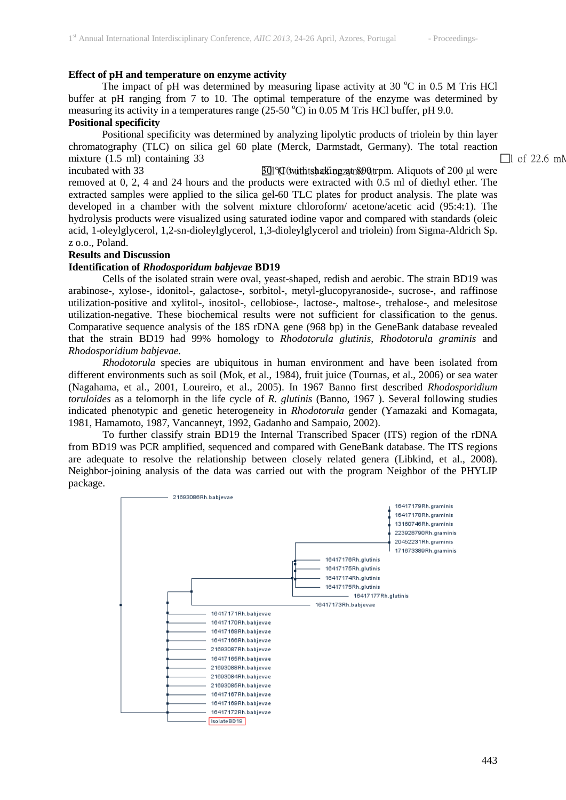## **Effect of pH and temperature on enzyme activity**

The impact of pH was determined by measuring lipase activity at 30  $^{\circ}$ C in 0.5 M Tris HCl buffer at pH ranging from 7 to 10. The optimal temperature of the enzyme was determined by measuring its activity in a temperatures range  $(25{\text -}50\,^{\circ}\text{C})$  in 0.05 M Tris HCl buffer, pH 9.0.

## **Positional specificity**

Positional specificity was determined by analyzing lipolytic products of triolein by thin layer chromatography (TLC) on silica gel 60 plate (Merck, Darmstadt, Germany). The total reaction mixture (1.5 ml) containing 33  $\Box$ 

incubated with 33 30 l°(C10 uwitnih tssha) okfi engnzayme t 800 atrpm. Aliquots of 200 μl were removed at 0, 2, 4 and 24 hours and the products were extracted with 0.5 ml of diethyl ether. The extracted samples were applied to the silica gel-60 TLC plates for product analysis. The plate was developed in a chamber with the solvent mixture chloroform/ acetone/acetic acid (95:4:1). The hydrolysis products were visualized using saturated iodine vapor and compared with standards (oleic acid, 1-oleylglycerol, 1,2-sn-dioleylglycerol, 1,3-dioleylglycerol and triolein) from Sigma-Aldrich Sp. z o.o., Poland.

## **Results and Discussion**

## **Identification of** *Rhodosporidum babjevae* **BD19**

Cells of the isolated strain were oval, yeast-shaped, redish and aerobic. The strain BD19 was arabinose-, xylose-, idonitol-, galactose-, sorbitol-, metyl-glucopyranoside-, sucrose-, and raffinose utilization-positive and xylitol-, inositol-, cellobiose-, lactose-, maltose-, trehalose-, and melesitose utilization-negative. These biochemical results were not sufficient for classification to the genus. Comparative sequence analysis of the 18S rDNA gene (968 bp) in the GeneBank database revealed that the strain BD19 had 99% homology to *Rhodotorula glutinis, Rhodotorula graminis* and *Rhodosporidium babjevae.*

*Rhodotorula* species are ubiquitous in human environment and have been isolated from different environments such as soil (Mok, et al., 1984), fruit juice (Tournas, et al., 2006) or sea water (Nagahama, et al., 2001, Loureiro, et al., 2005). In 1967 Banno first described *Rhodosporidium toruloides* as a telomorph in the life cycle of *R. glutinis* (Banno, 1967 ). Several following studies indicated phenotypic and genetic heterogeneity in *Rhodotorula* gender (Yamazaki and Komagata, 1981, Hamamoto, 1987, Vancanneyt, 1992, Gadanho and Sampaio, 2002).

To further classify strain BD19 the Internal Transcribed Spacer (ITS) region of the rDNA from BD19 was PCR amplified, sequenced and compared with GeneBank database. The ITS regions are adequate to resolve the relationship between closely related genera (Libkind, et al., 2008). Neighbor-joining analysis of the data was carried out with the program Neighbor of the PHYLIP package.

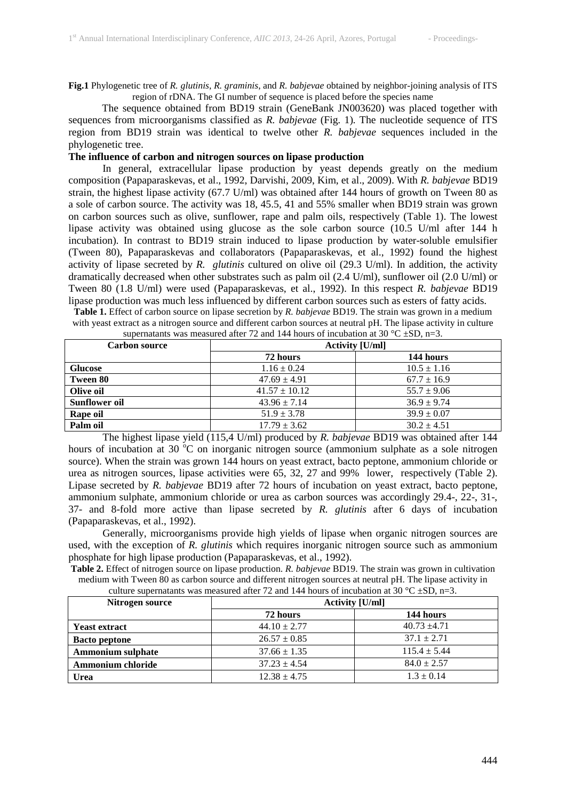**Fig.1** Phylogenetic tree of *R. glutinis*, *R. graminis*, and *R. babjevae* obtained by neighbor-joining analysis of ITS region of rDNA. The GI number of sequence is placed before the species name

The sequence obtained from BD19 strain (GeneBank JN003620) was placed together with sequences from microorganisms classified as *R. babjevae* (Fig. 1). The nucleotide sequence of ITS region from BD19 strain was identical to twelve other *R. babjevae* sequences included in the phylogenetic tree.

## **The influence of carbon and nitrogen sources on lipase production**

In general, extracellular lipase production by yeast depends greatly on the medium composition (Papaparaskevas, et al., 1992, Darvishi, 2009, Kim, et al., 2009). With *R. babjevae* BD19 strain, the highest lipase activity (67.7 U/ml) was obtained after 144 hours of growth on Tween 80 as a sole of carbon source. The activity was 18, 45.5, 41 and 55% smaller when BD19 strain was grown on carbon sources such as olive, sunflower, rape and palm oils, respectively (Table 1). The lowest lipase activity was obtained using glucose as the sole carbon source (10.5 U/ml after 144 h incubation). In contrast to BD19 strain induced to lipase production by water-soluble emulsifier (Tween 80), Papaparaskevas and collaborators (Papaparaskevas, et al., 1992) found the highest activity of lipase secreted by *R. glutinis* cultured on olive oil (29.3 U/ml). In addition, the activity dramatically decreased when other substrates such as palm oil (2.4 U/ml), sunflower oil (2.0 U/ml) or Tween 80 (1.8 U/ml) were used (Papaparaskevas, et al., 1992). In this respect *R. babjevae* BD19 lipase production was much less influenced by different carbon sources such as esters of fatty acids.

**Table 1.** Effect of carbon source on lipase secretion by *R. babjevae* BD19. The strain was grown in a medium with yeast extract as a nitrogen source and different carbon sources at neutral pH. The lipase activity in culture

| <b>Carbon source</b> | <b>Activity [U/ml]</b> |                 |  |  |
|----------------------|------------------------|-----------------|--|--|
|                      | 72 hours               | 144 hours       |  |  |
| <b>Glucose</b>       | $1.16 \pm 0.24$        | $10.5 \pm 1.16$ |  |  |
| <b>Tween 80</b>      | $47.69 \pm 4.91$       | $67.7 \pm 16.9$ |  |  |
| Olive oil            | $41.57 \pm 10.12$      | $55.7 \pm 9.06$ |  |  |
| <b>Sunflower oil</b> | $43.96 \pm 7.14$       | $36.9 \pm 9.74$ |  |  |
| Rape oil             | $51.9 \pm 3.78$        | $39.9 \pm 0.07$ |  |  |
| Palm oil             | $17.79 \pm 3.62$       | $30.2 \pm 4.51$ |  |  |

supernatants was measured after 72 and 144 hours of incubation at 30 °C  $\pm$ SD, n=3.

The highest lipase yield (115,4 U/ml) produced by *R. babjevae* BD19 was obtained after 144 hours of incubation at 30 °C on inorganic nitrogen source (ammonium sulphate as a sole nitrogen source). When the strain was grown 144 hours on yeast extract, bacto peptone, ammonium chloride or urea as nitrogen sources, lipase activities were 65, 32, 27 and 99% lower, respectively (Table 2). Lipase secreted by *R. babjevae* BD19 after 72 hours of incubation on yeast extract, bacto peptone, ammonium sulphate, ammonium chloride or urea as carbon sources was accordingly 29.4-, 22-, 31-, 37- and 8-fold more active than lipase secreted by *R. glutinis* after 6 days of incubation (Papaparaskevas, et al., 1992).

Generally, microorganisms provide high yields of lipase when organic nitrogen sources are used, with the exception of *R. glutinis* which requires inorganic nitrogen source such as ammonium phosphate for high lipase production (Papaparaskevas, et al., 1992).

**Table 2.** Effect of nitrogen source on lipase production. *R. babjevae* BD19. The strain was grown in cultivation medium with Tween 80 as carbon source and different nitrogen sources at neutral pH. The lipase activity in

culture supernatants was measured after 72 and 144 hours of incubation at 30 °C  $\pm$ SD, n=3.

| Nitrogen source          | Activity [U/ml]  |                  |  |
|--------------------------|------------------|------------------|--|
|                          | 72 hours         | 144 hours        |  |
| <b>Yeast extract</b>     | $44.10 \pm 2.77$ | $40.73 \pm 4.71$ |  |
| <b>Bacto peptone</b>     | $26.57 \pm 0.85$ | $37.1 \pm 2.71$  |  |
| <b>Ammonium sulphate</b> | $37.66 \pm 1.35$ | $115.4 \pm 5.44$ |  |
| <b>Ammonium chloride</b> | $37.23 \pm 4.54$ | $84.0 \pm 2.57$  |  |
| Urea                     | $12.38 \pm 4.75$ | $1.3 \pm 0.14$   |  |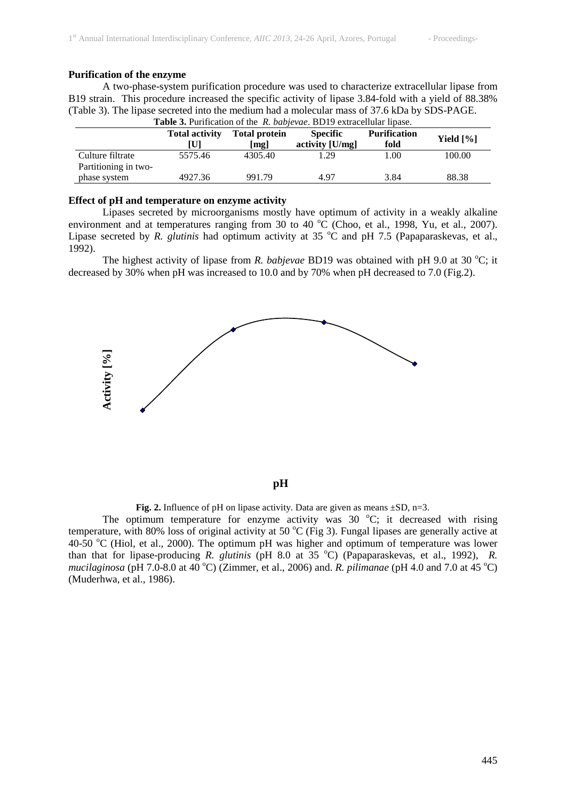### **Purification of the enzyme**

A two-phase-system purification procedure was used to characterize extracellular lipase from B19 strain. This procedure increased the specific activity of lipase 3.84-fold with a yield of 88.38% (Table 3). The lipase secreted into the medium had a molecular mass of 37.6 kDa by SDS-PAGE. **Table 3.** Purification of the *R. babjevae*. BD19 extracellular lipase.

|                                          | <b>Total activity</b><br>UI | <b>Total protein</b><br>[mg] | <b>Specific</b><br>activity [U/mg] | <b>Purification</b><br>fold | Yield $[\%]$ |
|------------------------------------------|-----------------------------|------------------------------|------------------------------------|-----------------------------|--------------|
| Culture filtrate<br>Partitioning in two- | 5575.46                     | 4305.40                      | 1.29                               | 1.00                        | 100.00       |
| phase system                             | 4927.36                     | 991.79                       | 4.97                               | 3.84                        | 88.38        |

**Effect of pH and temperature on enzyme activity**

Lipases secreted by microorganisms mostly have optimum of activity in a weakly alkaline environment and at temperatures ranging from 30 to 40  $^{\circ}$ C (Choo, et al., 1998, Yu, et al., 2007). Lipase secreted by *R. glutinis* had optimum activity at 35 °C and pH 7.5 (Papaparaskevas, et al., 1992).

The highest activity of lipase from *R. babjevae* BD19 was obtained with pH 9.0 at 30 °C; it decreased by 30% when pH was increased to 10.0 and by 70% when pH decreased to 7.0 (Fig.2).



**pH**

**Fig. 2.** Influence of pH on lipase activity. Data are given as means  $\pm SD$ , n=3.

The optimum temperature for enzyme activity was  $30^{\circ}$ C; it decreased with rising temperature, with 80% loss of original activity at 50  $^{\circ}$ C (Fig 3). Fungal lipases are generally active at 40-50  $^{\circ}$ C (Hiol, et al., 2000). The optimum pH was higher and optimum of temperature was lower than that for lipase-producing *R. glutinis* (pH 8.0 at 35 °C) (Papaparaskevas, et al., 1992), *R. mucilaginosa* (pH 7.0-8.0 at 40 °C) (Zimmer, et al., 2006) and. *R. pilimanae* (pH 4.0 and 7.0 at 45 °C) (Muderhwa, et al., 1986).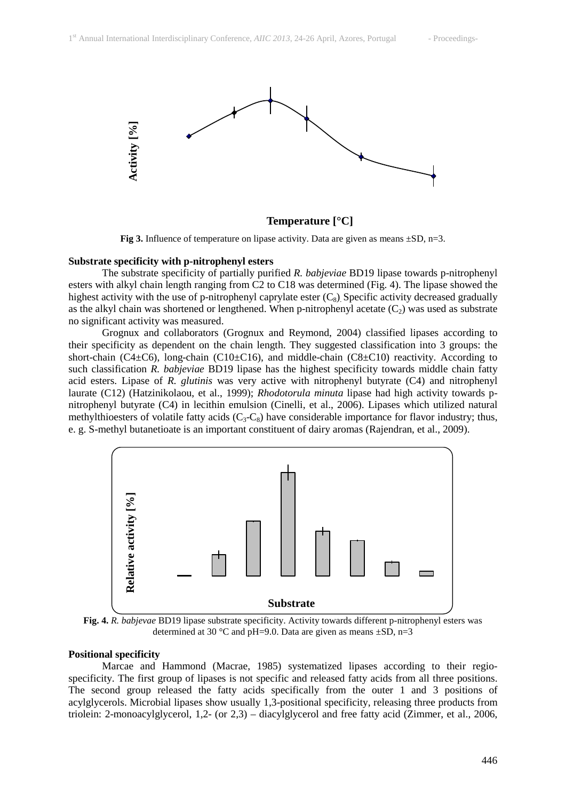

**Temperature [°C]**

**Fig 3.** Influence of temperature on lipase activity. Data are given as means  $\pm SD$ , n=3.

#### **Substrate specificity with p-nitrophenyl esters**

The substrate specificity of partially purified *R. babjeviae* BD19 lipase towards p-nitrophenyl esters with alkyl chain length ranging from C2 to C18 was determined (Fig. 4). The lipase showed the highest activity with the use of p-nitrophenyl caprylate ester  $(C_8)$ . Specific activity decreased gradually as the alkyl chain was shortened or lengthened. When p-nitrophenyl acetate  $(C_2)$  was used as substrate no significant activity was measured.

Grognux and collaborators (Grognux and Reymond, 2004) classified lipases according to their specificity as dependent on the chain length. They suggested classification into 3 groups: the short-chain (C4 $\pm$ C6), long-chain (C10 $\pm$ C16), and middle-chain (C8 $\pm$ C10) reactivity. According to such classification *R. babjeviae* BD19 lipase has the highest specificity towards middle chain fatty acid esters. Lipase of *R. glutinis* was very active with nitrophenyl butyrate (C4) and nitrophenyl laurate (C12) (Hatzinikolaou, et al., 1999); *Rhodotorula minuta* lipase had high activity towards pnitrophenyl butyrate (C4) in lecithin emulsion (Cinelli, et al., 2006). Lipases which utilized natural methylthioesters of volatile fatty acids  $(C_3-C_8)$  have considerable importance for flavor industry; thus, e. g. S-methyl butanetioate is an important constituent of dairy aromas (Rajendran, et al., 2009).



**Fig. 4.** *R. babjevae* BD19 lipase substrate specificity. Activity towards different p-nitrophenyl esters was determined at 30 °C and pH=9.0. Data are given as means  $\pm$ SD, n=3

#### **Positional specificity**

Marcae and Hammond (Macrae, 1985) systematized lipases according to their regiospecificity. The first group of lipases is not specific and released fatty acids from all three positions. The second group released the fatty acids specifically from the outer 1 and 3 positions of acylglycerols. Microbial lipases show usually 1,3-positional specificity, releasing three products from triolein: 2-monoacylglycerol, 1,2- (or 2,3) – diacylglycerol and free fatty acid (Zimmer, et al., 2006,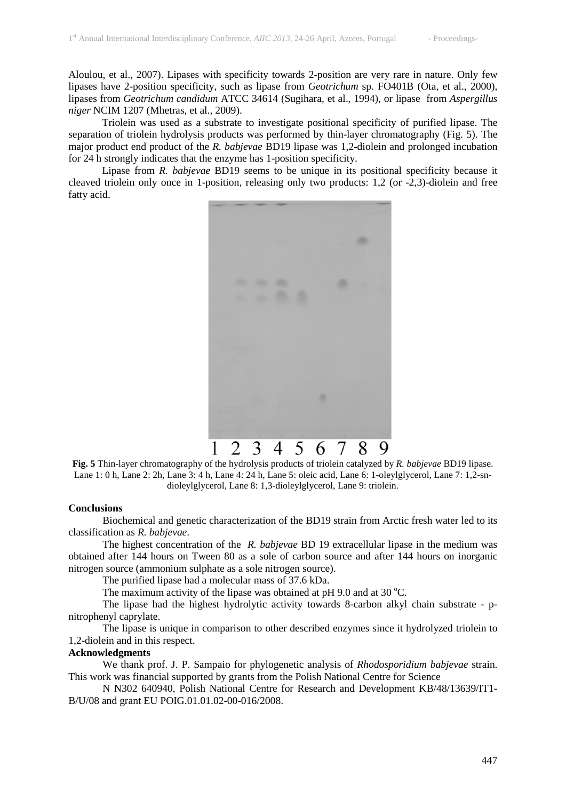Aloulou, et al., 2007). Lipases with specificity towards 2-position are very rare in nature. Only few lipases have 2-position specificity, such as lipase from *Geotrichum* sp. FO401B (Ota, et al., 2000), lipases from *Geotrichum candidum* ATCC 34614 (Sugihara, et al., 1994), or lipase from *Aspergillus niger* NCIM 1207 (Mhetras, et al., 2009).

Triolein was used as a substrate to investigate positional specificity of purified lipase. The separation of triolein hydrolysis products was performed by thin-layer chromatography (Fig. 5). The major product end product of the *R. babjevae* BD19 lipase was 1,2-diolein and prolonged incubation for 24 h strongly indicates that the enzyme has 1-position specificity.

Lipase from *R. babjevae* BD19 seems to be unique in its positional specificity because it cleaved triolein only once in 1-position, releasing only two products: 1,2 (or -2,3)-diolein and free fatty acid.



**Fig. 5** Thin-layer chromatography of the hydrolysis products of triolein catalyzed by *R. babjevae* BD19 lipase. Lane 1: 0 h, Lane 2: 2h, Lane 3: 4 h, Lane 4: 24 h, Lane 5: oleic acid, Lane 6: 1-oleylglycerol, Lane 7: 1,2-sndioleylglycerol, Lane 8: 1,3-dioleylglycerol, Lane 9: triolein.

### **Conclusions**

Biochemical and genetic characterization of the BD19 strain from Arctic fresh water led to its classification as *R. babjevae*.

The highest concentration of the *R. babjevae* BD 19 extracellular lipase in the medium was obtained after 144 hours on Tween 80 as a sole of carbon source and after 144 hours on inorganic nitrogen source (ammonium sulphate as a sole nitrogen source).

The purified lipase had a molecular mass of 37.6 kDa.

The maximum activity of the lipase was obtained at pH 9.0 and at 30  $^{\circ}$ C.

The lipase had the highest hydrolytic activity towards 8-carbon alkyl chain substrate - pnitrophenyl caprylate.

The lipase is unique in comparison to other described enzymes since it hydrolyzed triolein to 1,2-diolein and in this respect.

## **Acknowledgments**

We thank prof. J. P. Sampaio for phylogenetic analysis of *Rhodosporidium babjevae* strain. This work was financial supported by grants from the Polish National Centre for Science

N N302 640940, Polish National Centre for Research and Development KB/48/13639/IT1- B/U/08 and grant EU POIG.01.01.02-00-016/2008.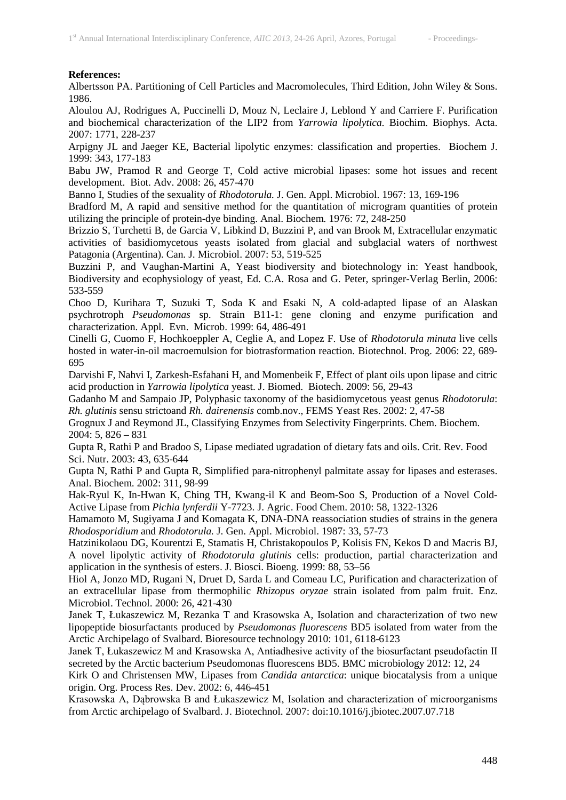## **References:**

Albertsson PA. Partitioning of Cell Particles and Macromolecules, Third Edition, John Wiley & Sons. 1986.

Aloulou AJ, Rodrigues A, Puccinelli D, Mouz N, Leclaire J, Leblond Y and Carriere F. Purification and biochemical characterization of the LIP2 from *Yarrowia lipolytica.* Biochim. Biophys. Acta. 2007: 1771, 228-237

Arpigny JL and Jaeger KE, Bacterial lipolytic enzymes: classification and properties. Biochem J. 1999: 343, 177-183

Babu JW, Pramod R and George T, Cold active microbial lipases: some hot issues and recent development. Biot. Adv. 2008: 26, 457-470

Banno I, Studies of the sexuality of *Rhodotorula.* J. Gen. Appl. Microbiol. 1967: 13, 169-196

Bradford M, A rapid and sensitive method for the quantitation of microgram quantities of protein utilizing the principle of protein-dye binding. Anal. Biochem*.* 1976: 72, 248-250

Brizzio S, Turchetti B, de Garcia V, Libkind D, Buzzini P, and van Brook M, Extracellular enzymatic activities of basidiomycetous yeasts isolated from glacial and subglacial waters of northwest Patagonia (Argentina). Can. J. Microbiol. 2007: 53, 519-525

Buzzini P, and Vaughan-Martini A, Yeast biodiversity and biotechnology in: Yeast handbook, Biodiversity and ecophysiology of yeast, Ed. C.A. Rosa and G. Peter, springer-Verlag Berlin, 2006: 533-559

Choo D, Kurihara T, Suzuki T, Soda K and Esaki N, A cold-adapted lipase of an Alaskan psychrotroph *Pseudomonas* sp. Strain B11-1: gene cloning and enzyme purification and characterization. Appl. Evn. Microb. 1999: 64, 486-491

Cinelli G, Cuomo F, Hochkoeppler A, Ceglie A, and Lopez F. Use of *Rhodotorula minuta* live cells hosted in water-in-oil macroemulsion for biotrasformation reaction. Biotechnol. Prog. 2006: 22, 689- 695

Darvishi F, Nahvi I, Zarkesh-Esfahani H, and Momenbeik F, Effect of plant oils upon lipase and citric acid production in *Yarrowia lipolytica* yeast. J. Biomed. Biotech. 2009: 56, 29-43

Gadanho M and Sampaio JP, Polyphasic taxonomy of the basidiomycetous yeast genus *Rhodotorula*: *Rh. glutinis* sensu strictoand *Rh. dairenensis* comb.nov., FEMS Yeast Res. 2002: 2, 47-58

Grognux J and Reymond JL, Classifying Enzymes from Selectivity Fingerprints. Chem. Biochem.  $2004: 5, 826 - 831$ 

Gupta R, Rathi P and Bradoo S, Lipase mediated ugradation of dietary fats and oils. Crit. Rev. Food Sci. Nutr. 2003: 43, 635-644

Gupta N, Rathi P and Gupta R, Simplified para-nitrophenyl palmitate assay for lipases and esterases. Anal. Biochem. 2002: 311, 98-99

Hak-Ryul K, In-Hwan K, Ching TH, Kwang-il K and Beom-Soo S, Production of a Novel Cold-Active Lipase from *Pichia lynferdii* Y-7723. J. Agric. Food Chem. 2010: 58, 1322-1326

Hamamoto M, Sugiyama J and Komagata K, DNA-DNA reassociation studies of strains in the genera *Rhodosporidium* and *Rhodotorula.* J. Gen. Appl. Microbiol. 1987: 33, 57-73

Hatzinikolaou DG, Kourentzi E, Stamatis H, Christakopoulos P, Kolisis FN, Kekos D and Macris BJ, A novel lipolytic activity of *Rhodotorula glutinis* cells: production, partial characterization and application in the synthesis of esters. J. Biosci. Bioeng. 1999: 88, 53–56

Hiol A, Jonzo MD, Rugani N, Druet D, Sarda L and Comeau LC, Purification and characterization of an extracellular lipase from thermophilic *Rhizopus oryzae* strain isolated from palm fruit. Enz. Microbiol. Technol. 2000: 26, 421-430

Janek T, Łukaszewicz M, Rezanka T and Krasowska A, Isolation and characterization of two new lipopeptide biosurfactants produced by *Pseudomonas fluorescens* BD5 isolated from water from the Arctic Archipelago of Svalbard. Bioresource technology 2010: 101, 6118-6123

Janek T, Łukaszewicz M and Krasowska A, Antiadhesive activity of the biosurfactant pseudofactin II secreted by the Arctic bacterium Pseudomonas fluorescens BD5. BMC microbiology 2012: 12, 24

Kirk O and Christensen MW, Lipases from *Candida antarctica*: unique biocatalysis from a unique origin. Org. Process Res. Dev. 2002: 6, 446-451

Krasowska A, Dąbrowska B and Łukaszewicz M, Isolation and characterization of microorganisms from Arctic archipelago of Svalbard. J. Biotechnol. 2007: doi:10.1016/j.jbiotec.2007.07.718